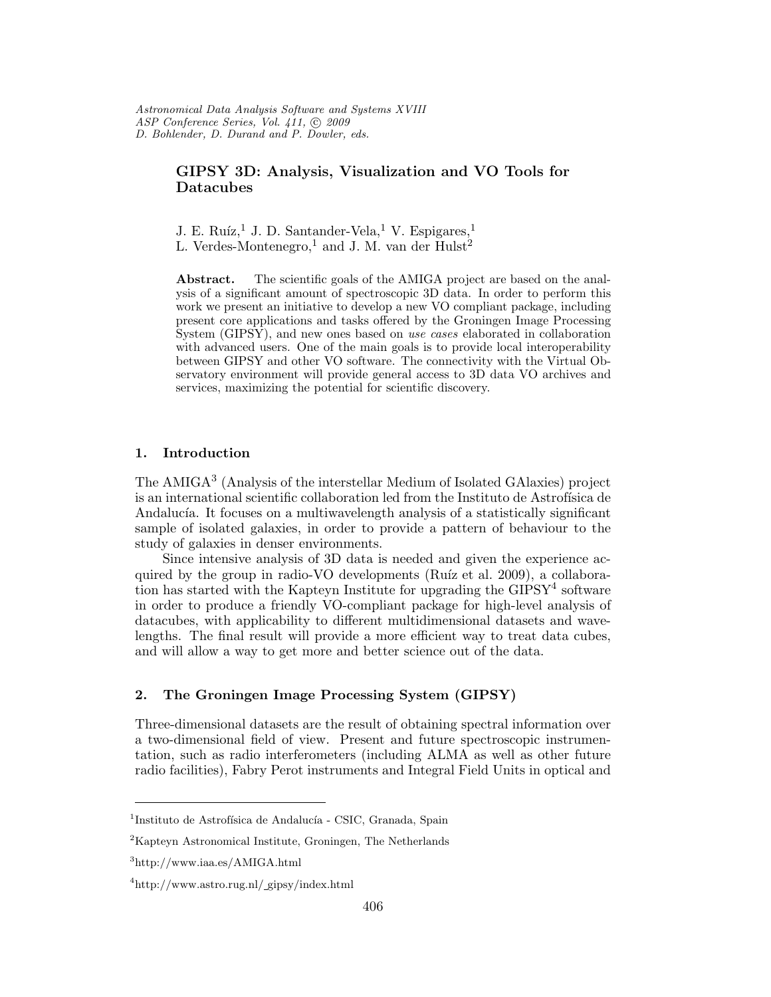# GIPSY 3D: Analysis, Visualization and VO Tools for Datacubes

J. E. Ruíz,<sup>1</sup> J. D. Santander-Vela,<sup>1</sup> V. Espigares,<sup>1</sup> L. Verdes-Montenegro,<sup>1</sup> and J. M. van der  $Hulst<sup>2</sup>$ 

Abstract. The scientific goals of the AMIGA project are based on the analysis of a significant amount of spectroscopic 3D data. In order to perform this work we present an initiative to develop a new VO compliant package, including present core applications and tasks offered by the Groningen Image Processing System (GIPSY), and new ones based on use cases elaborated in collaboration with advanced users. One of the main goals is to provide local interoperability between GIPSY and other VO software. The connectivity with the Virtual Observatory environment will provide general access to 3D data VO archives and services, maximizing the potential for scientific discovery.

## 1. Introduction

The AMIGA<sup>3</sup> (Analysis of the interstellar Medium of Isolated GAlaxies) project is an international scientific collaboration led from the Instituto de Astrofísica de Andalucía. It focuses on a multiwavelength analysis of a statistically significant sample of isolated galaxies, in order to provide a pattern of behaviour to the study of galaxies in denser environments.

Since intensive analysis of 3D data is needed and given the experience acquired by the group in radio-VO developments (Ruíz et al. 2009), a collaboration has started with the Kapteyn Institute for upgrading the  $\text{GIPSY}^4$  software in order to produce a friendly VO-compliant package for high-level analysis of datacubes, with applicability to different multidimensional datasets and wavelengths. The final result will provide a more efficient way to treat data cubes, and will allow a way to get more and better science out of the data.

## 2. The Groningen Image Processing System (GIPSY)

Three-dimensional datasets are the result of obtaining spectral information over a two-dimensional field of view. Present and future spectroscopic instrumentation, such as radio interferometers (including ALMA as well as other future radio facilities), Fabry Perot instruments and Integral Field Units in optical and

<sup>&</sup>lt;sup>1</sup>Instituto de Astrofísica de Andalucía - CSIC, Granada, Spain

<sup>2</sup>Kapteyn Astronomical Institute, Groningen, The Netherlands

<sup>3</sup>http://www.iaa.es/AMIGA.html

<sup>4</sup>http://www.astro.rug.nl/ gipsy/index.html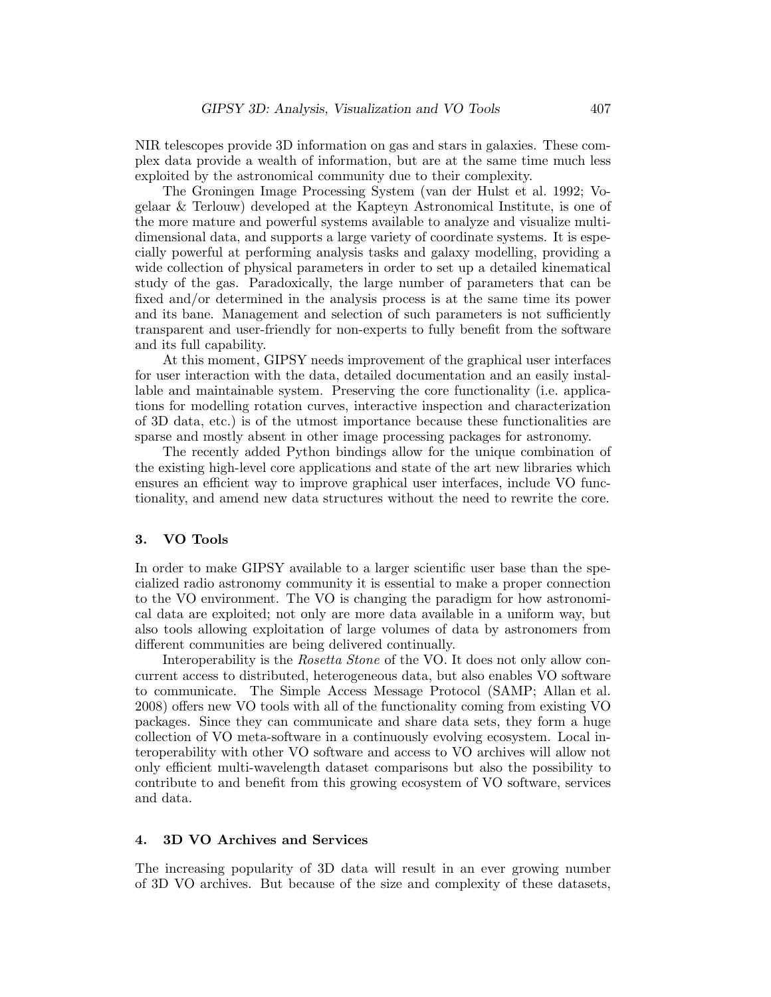NIR telescopes provide 3D information on gas and stars in galaxies. These complex data provide a wealth of information, but are at the same time much less exploited by the astronomical community due to their complexity.

The Groningen Image Processing System (van der Hulst et al. 1992; Vogelaar & Terlouw) developed at the Kapteyn Astronomical Institute, is one of the more mature and powerful systems available to analyze and visualize multidimensional data, and supports a large variety of coordinate systems. It is especially powerful at performing analysis tasks and galaxy modelling, providing a wide collection of physical parameters in order to set up a detailed kinematical study of the gas. Paradoxically, the large number of parameters that can be fixed and/or determined in the analysis process is at the same time its power and its bane. Management and selection of such parameters is not sufficiently transparent and user-friendly for non-experts to fully benefit from the software and its full capability.

At this moment, GIPSY needs improvement of the graphical user interfaces for user interaction with the data, detailed documentation and an easily installable and maintainable system. Preserving the core functionality (i.e. applications for modelling rotation curves, interactive inspection and characterization of 3D data, etc.) is of the utmost importance because these functionalities are sparse and mostly absent in other image processing packages for astronomy.

The recently added Python bindings allow for the unique combination of the existing high-level core applications and state of the art new libraries which ensures an efficient way to improve graphical user interfaces, include VO functionality, and amend new data structures without the need to rewrite the core.

#### 3. VO Tools

In order to make GIPSY available to a larger scientific user base than the specialized radio astronomy community it is essential to make a proper connection to the VO environment. The VO is changing the paradigm for how astronomical data are exploited; not only are more data available in a uniform way, but also tools allowing exploitation of large volumes of data by astronomers from different communities are being delivered continually.

Interoperability is the *Rosetta Stone* of the VO. It does not only allow concurrent access to distributed, heterogeneous data, but also enables VO software to communicate. The Simple Access Message Protocol (SAMP; Allan et al. 2008) offers new VO tools with all of the functionality coming from existing VO packages. Since they can communicate and share data sets, they form a huge collection of VO meta-software in a continuously evolving ecosystem. Local interoperability with other VO software and access to VO archives will allow not only efficient multi-wavelength dataset comparisons but also the possibility to contribute to and benefit from this growing ecosystem of VO software, services and data.

#### 4. 3D VO Archives and Services

The increasing popularity of 3D data will result in an ever growing number of 3D VO archives. But because of the size and complexity of these datasets,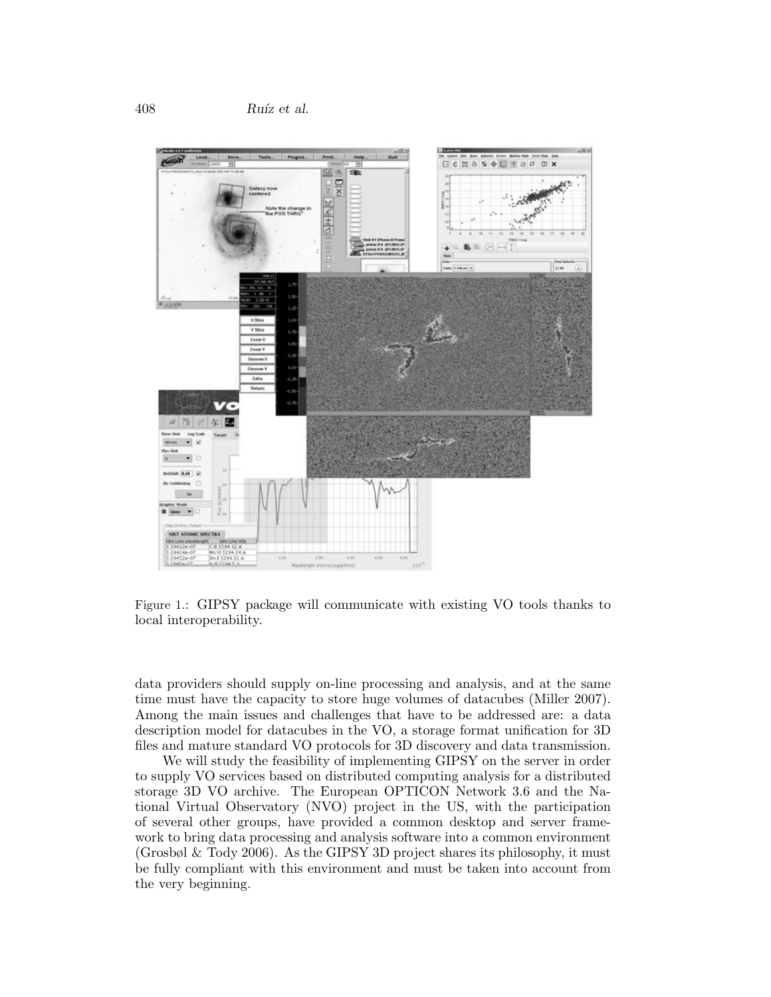

Figure 1.: GIPSY package will communicate with existing VO tools thanks to local interoperability.

data providers should supply on-line processing and analysis, and at the same time must have the capacity to store huge volumes of datacubes (Miller 2007). Among the main issues and challenges that have to be addressed are: a data description model for datacubes in the VO, a storage format unification for 3D files and mature standard VO protocols for 3D discovery and data transmission.

We will study the feasibility of implementing GIPSY on the server in order to supply VO services based on distributed computing analysis for a distributed storage 3D VO archive. The European OPTICON Network 3.6 and the National Virtual Observatory (NVO) project in the US, with the participation of several other groups, have provided a common desktop and server framework to bring data processing and analysis software into a common environment (Grosbøl & Tody 2006). As the GIPSY 3D project shares its philosophy, it must be fully compliant with this environment and must be taken into account from the very beginning.